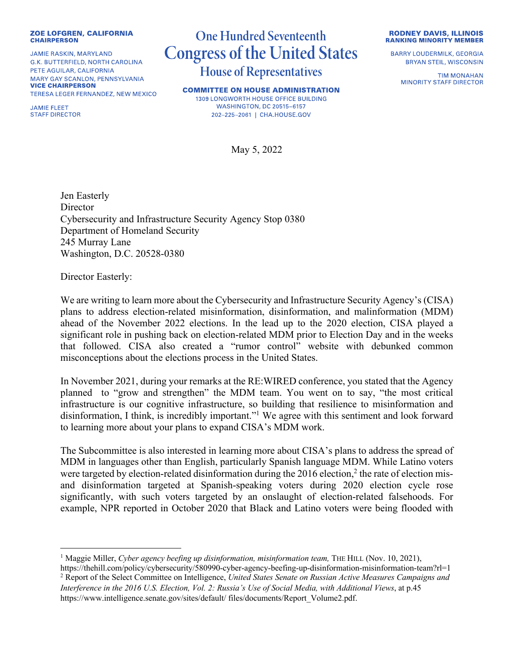## **ZOE LOFGREN, CALIFORNIA CHAIRPERSON**

**JAMIE RASKIN, MARYLAND** G.K. BUTTERFIELD, NORTH CAROLINA PETE AGUILAR, CALIFORNIA MARY GAY SCANLON, PENNSYLVANIA **VICE CHAIRPERSON** TERESA LEGER FERNANDEZ, NEW MEXICO

**JAMIE FLEET STAFF DIRECTOR** 

## **One Hundred Seventeenth Congress of the United States House of Representatives**

**COMMITTEE ON HOUSE ADMINISTRATION** 1309 LONGWORTH HOUSE OFFICE BUILDING **WASHINGTON, DC 20515-6157** 202-225-2061 | CHA.HOUSE.GOV

May 5, 2022

**RODNEY DAVIS, ILLINOIS RANKING MINORITY MEMBER** 

**BARRY LOUDERMILK, GEORGIA BRYAN STEIL, WISCONSIN** 

> **TIM MONAHAN MINORITY STAFF DIRECTOR**

Jen Easterly **Director** Cybersecurity and Infrastructure Security Agency Stop 0380 Department of Homeland Security 245 Murray Lane Washington, D.C. 20528-0380

Director Easterly:

We are writing to learn more about the Cybersecurity and Infrastructure Security Agency's (CISA) plans to address election-related misinformation, disinformation, and malinformation (MDM) ahead of the November 2022 elections. In the lead up to the 2020 election, CISA played a significant role in pushing back on election-related MDM prior to Election Day and in the weeks that followed. CISA also created a "rumor control" website with debunked common misconceptions about the elections process in the United States.

In November 2021, during your remarks at the RE:WIRED conference, you stated that the Agency planned to "grow and strengthen" the MDM team. You went on to say, "the most critical infrastructure is our cognitive infrastructure, so building that resilience to misinformation and disinformation, I think, is incredibly important."1 We agree with this sentiment and look forward to learning more about your plans to expand CISA's MDM work.

The Subcommittee is also interested in learning more about CISA's plans to address the spread of MDM in languages other than English, particularly Spanish language MDM. While Latino voters were targeted by election-related disinformation during the 2016 election,<sup>2</sup> the rate of election misand disinformation targeted at Spanish-speaking voters during 2020 election cycle rose significantly, with such voters targeted by an onslaught of election-related falsehoods. For example, NPR reported in October 2020 that Black and Latino voters were being flooded with

<sup>1</sup> Maggie Miller, *Cyber agency beefing up disinformation, misinformation team,* THE HILL (Nov. 10, 2021),

https://thehill.com/policy/cybersecurity/580990-cyber-agency-beefing-up-disinformation-misinformation-team?rl=1 <sup>2</sup> Report of the Select Committee on Intelligence, *United States Senate on Russian Active Measures Campaigns and Interference in the 2016 U.S. Election, Vol. 2: Russia's Use of Social Media, with Additional Views*, at p.45 https://www.intelligence.senate.gov/sites/default/ files/documents/Report\_Volume2.pdf.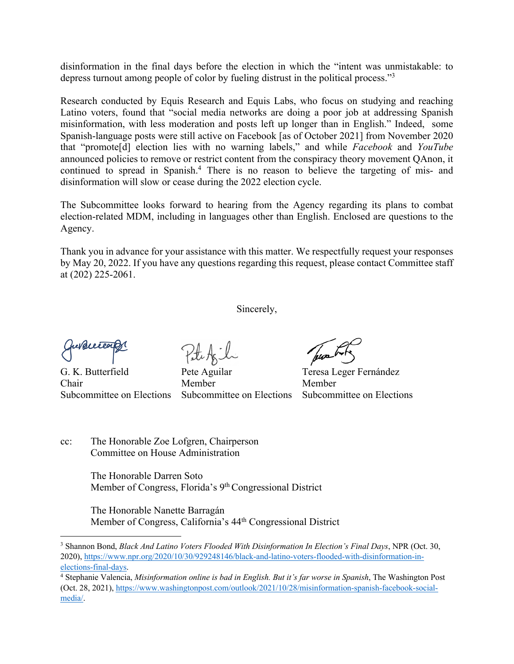disinformation in the final days before the election in which the "intent was unmistakable: to depress turnout among people of color by fueling distrust in the political process."3

Research conducted by Equis Research and Equis Labs, who focus on studying and reaching Latino voters, found that "social media networks are doing a poor job at addressing Spanish misinformation, with less moderation and posts left up longer than in English." Indeed, some Spanish-language posts were still active on Facebook [as of October 2021] from November 2020 that "promote[d] election lies with no warning labels," and while *Facebook* and *YouTube* announced policies to remove or restrict content from the conspiracy theory movement QAnon, it continued to spread in Spanish.<sup>4</sup> There is no reason to believe the targeting of mis- and disinformation will slow or cease during the 2022 election cycle.

The Subcommittee looks forward to hearing from the Agency regarding its plans to combat election-related MDM, including in languages other than English. Enclosed are questions to the Agency.

Thank you in advance for your assistance with this matter. We respectfully request your responses by May 20, 2022. If you have any questions regarding this request, please contact Committee staff at (202) 225-2061.

Sincerely,

Chair Member Member

G. K. Butterfield Pete Aguilar Teresa Leger Fernández Subcommittee on Elections Subcommittee on Elections Subcommittee on Elections

cc: The Honorable Zoe Lofgren, Chairperson Committee on House Administration

> The Honorable Darren Soto Member of Congress, Florida's 9<sup>th</sup> Congressional District

The Honorable Nanette Barragán Member of Congress, California's 44th Congressional District

<sup>3</sup> Shannon Bond, *Black And Latino Voters Flooded With Disinformation In Election's Final Days*, NPR (Oct. 30, 2020), https://www.npr.org/2020/10/30/929248146/black-and-latino-voters-flooded-with-disinformation-inelections-final-days. 4 Stephanie Valencia, *Misinformation online is bad in English. But it's far worse in Spanish*, The Washington Post

<sup>(</sup>Oct. 28, 2021), https://www.washingtonpost.com/outlook/2021/10/28/misinformation-spanish-facebook-socialmedia/.